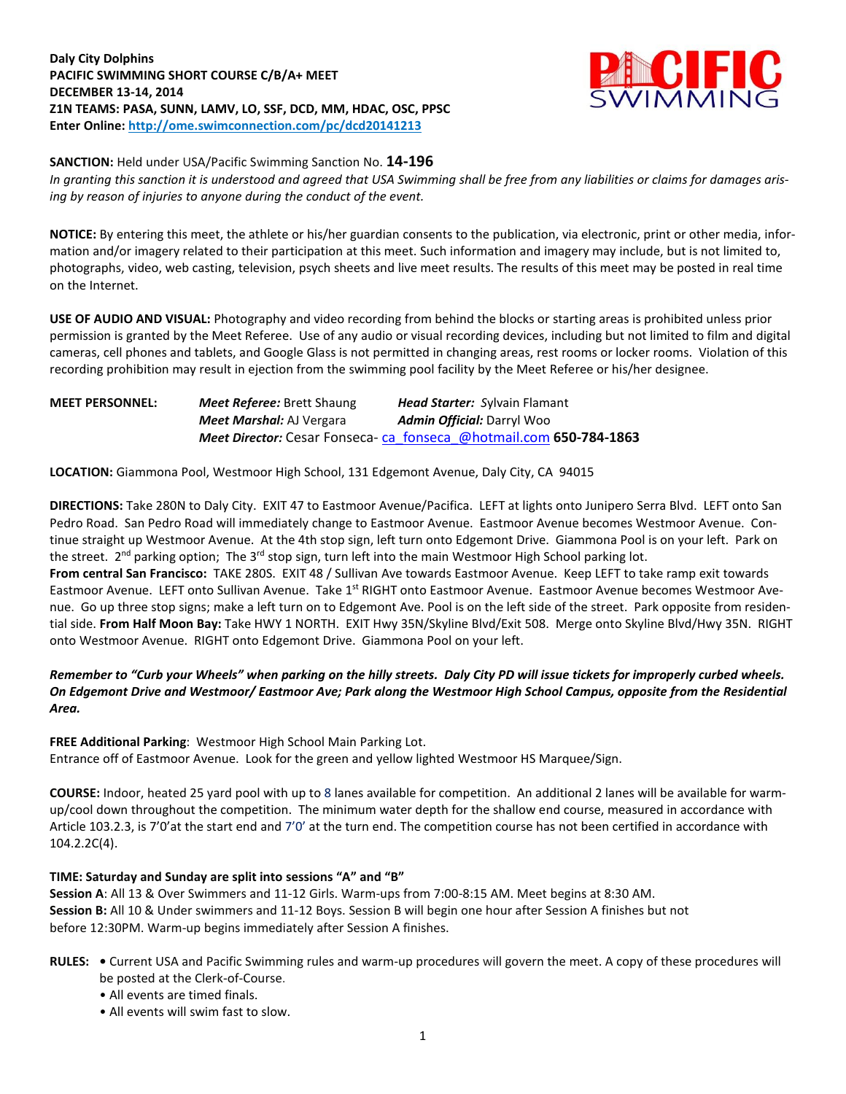**Daly City Dolphins PACIFIC SWIMMING SHORT COURSE C/B/A+ MEET DECEMBER 13-14, 2014 Z1N TEAMS: PASA, SUNN, LAMV, LO, SSF, DCD, MM, HDAC, OSC, PPSC Enter Online: <http://ome.swimconnection.com/pc/dcd20141213>**



**SANCTION:** Held under USA/Pacific Swimming Sanction No. **14-196**

In granting this sanction it is understood and agreed that USA Swimming shall be free from any liabilities or claims for damages aris*ing by reason of injuries to anyone during the conduct of the event.*

**NOTICE:** By entering this meet, the athlete or his/her guardian consents to the publication, via electronic, print or other media, information and/or imagery related to their participation at this meet. Such information and imagery may include, but is not limited to, photographs, video, web casting, television, psych sheets and live meet results. The results of this meet may be posted in real time on the Internet.

**USE OF AUDIO AND VISUAL:** Photography and video recording from behind the blocks or starting areas is prohibited unless prior permission is granted by the Meet Referee. Use of any audio or visual recording devices, including but not limited to film and digital cameras, cell phones and tablets, and Google Glass is not permitted in changing areas, rest rooms or locker rooms. Violation of this recording prohibition may result in ejection from the swimming pool facility by the Meet Referee or his/her designee.

**MEET PERSONNEL:** *Meet Referee:* Brett Shaung *Head Starter: S*ylvain Flamant *Meet Marshal:* AJ Vergara *Admin Official:* Darryl Woo *Meet Director:* Cesar Fonseca- [ca\\_fonseca\\_@hotmail.com](mailto:ca_fonseca_@hotmail.com) **650-784-1863**

**LOCATION:** Giammona Pool, Westmoor High School, 131 Edgemont Avenue, Daly City, CA 94015

**DIRECTIONS:** Take 280N to Daly City. EXIT 47 to Eastmoor Avenue/Pacifica. LEFT at lights onto Junipero Serra Blvd. LEFT onto San Pedro Road. San Pedro Road will immediately change to Eastmoor Avenue. Eastmoor Avenue becomes Westmoor Avenue. Continue straight up Westmoor Avenue. At the 4th stop sign, left turn onto Edgemont Drive. Giammona Pool is on your left. Park on the street. 2<sup>nd</sup> parking option; The 3<sup>rd</sup> stop sign, turn left into the main Westmoor High School parking lot.

**From central San Francisco:** TAKE 280S. EXIT 48 / Sullivan Ave towards Eastmoor Avenue. Keep LEFT to take ramp exit towards Eastmoor Avenue. LEFT onto Sullivan Avenue. Take 1<sup>st</sup> RIGHT onto Eastmoor Avenue. Eastmoor Avenue becomes Westmoor Avenue. Go up three stop signs; make a left turn on to Edgemont Ave. Pool is on the left side of the street. Park opposite from residential side. **From Half Moon Bay:** Take HWY 1 NORTH. EXIT Hwy 35N/Skyline Blvd/Exit 508. Merge onto Skyline Blvd/Hwy 35N. RIGHT onto Westmoor Avenue. RIGHT onto Edgemont Drive. Giammona Pool on your left.

Remember to "Curb your Wheels" when parking on the hilly streets. Daly City PD will issue tickets for improperly curbed wheels. On Edgemont Drive and Westmoor/ Eastmoor Ave; Park along the Westmoor High School Campus, opposite from the Residential *Area.*

**FREE Additional Parking**: Westmoor High School Main Parking Lot. Entrance off of Eastmoor Avenue. Look for the green and yellow lighted Westmoor HS Marquee/Sign.

**COURSE:** Indoor, heated 25 yard pool with up to 8 lanes available for competition.An additional 2 lanes will be available for warmup/cool down throughout the competition. The minimum water depth for the shallow end course, measured in accordance with Article 103.2.3, is 7'0'at the start end and 7'0' at the turn end. The competition course has not been certified in accordance with 104.2.2C(4).

## **TIME: Saturday and Sunday are split into sessions "A" and "B"**

**Session A**: All 13 & Over Swimmers and 11-12 Girls. Warm-ups from 7:00-8:15 AM. Meet begins at 8:30 AM. **Session B:** All 10 & Under swimmers and 11-12 Boys. Session B will begin one hour after Session A finishes but not before 12:30PM. Warm-up begins immediately after Session A finishes.

- **RULES: •** Current USA and Pacific Swimming rules and warm-up procedures will govern the meet. A copy of these procedures will be posted at the Clerk-of-Course.
	- All events are timed finals.
	- All events will swim fast to slow.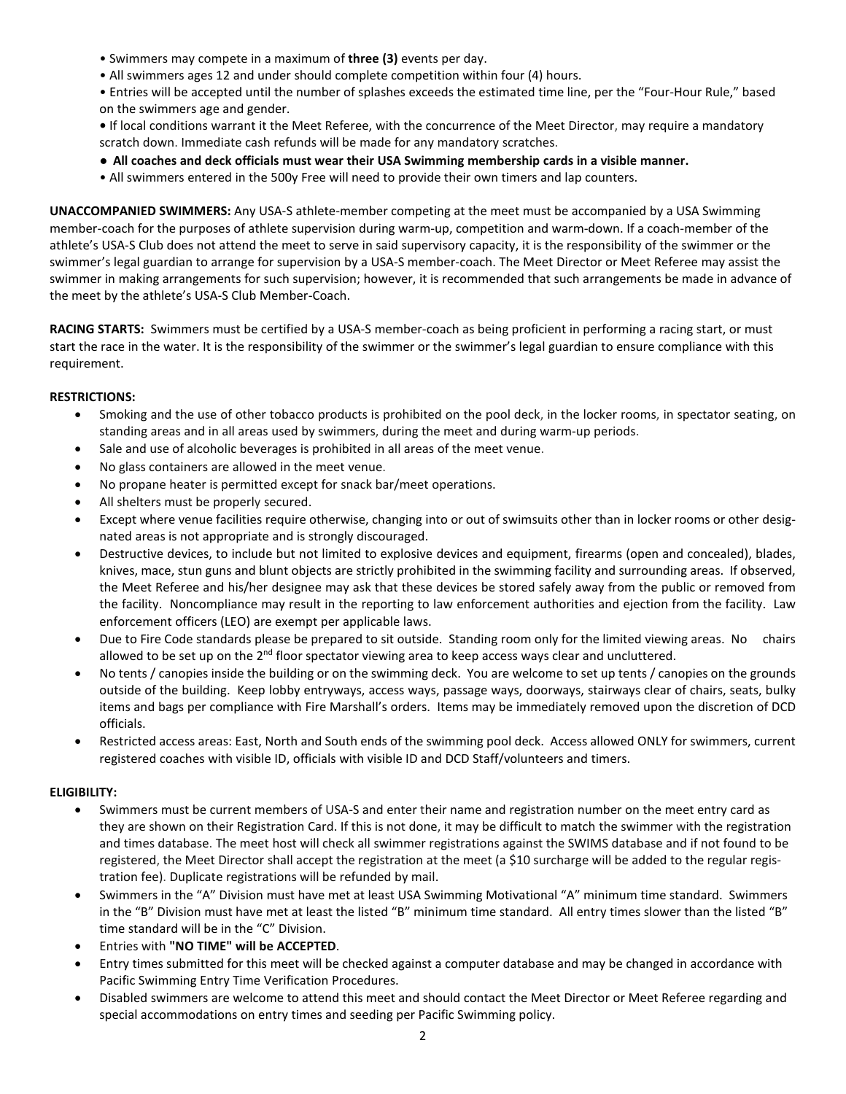- Swimmers may compete in a maximum of **three (3)** events per day.
- All swimmers ages 12 and under should complete competition within four (4) hours.
- Entries will be accepted until the number of splashes exceeds the estimated time line, per the "Four-Hour Rule," based on the swimmers age and gender.
- **•** If local conditions warrant it the Meet Referee, with the concurrence of the Meet Director, may require a mandatory scratch down. Immediate cash refunds will be made for any mandatory scratches.
- **• All coaches and deck officials must wear their USA Swimming membership cards in a visible manner.**
- All swimmers entered in the 500y Free will need to provide their own timers and lap counters.

**UNACCOMPANIED SWIMMERS:** Any USA-S athlete-member competing at the meet must be accompanied by a USA Swimming member-coach for the purposes of athlete supervision during warm-up, competition and warm-down. If a coach-member of the athlete's USA-S Club does not attend the meet to serve in said supervisory capacity, it is the responsibility of the swimmer or the swimmer's legal guardian to arrange for supervision by a USA-S member-coach. The Meet Director or Meet Referee may assist the swimmer in making arrangements for such supervision; however, it is recommended that such arrangements be made in advance of the meet by the athlete's USA-S Club Member-Coach.

**RACING STARTS:** Swimmers must be certified by a USA-S member-coach as being proficient in performing a racing start, or must start the race in the water. It is the responsibility of the swimmer or the swimmer's legal guardian to ensure compliance with this requirement.

# **RESTRICTIONS:**

- Smoking and the use of other tobacco products is prohibited on the pool deck, in the locker rooms, in spectator seating, on standing areas and in all areas used by swimmers, during the meet and during warm-up periods.
- Sale and use of alcoholic beverages is prohibited in all areas of the meet venue.
- No glass containers are allowed in the meet venue.
- No propane heater is permitted except for snack bar/meet operations.
- All shelters must be properly secured.
- Except where venue facilities require otherwise, changing into or out of swimsuits other than in locker rooms or other designated areas is not appropriate and is strongly discouraged.
- Destructive devices, to include but not limited to explosive devices and equipment, firearms (open and concealed), blades, knives, mace, stun guns and blunt objects are strictly prohibited in the swimming facility and surrounding areas. If observed, the Meet Referee and his/her designee may ask that these devices be stored safely away from the public or removed from the facility. Noncompliance may result in the reporting to law enforcement authorities and ejection from the facility. Law enforcement officers (LEO) are exempt per applicable laws.
- Due to Fire Code standards please be prepared to sit outside. Standing room only for the limited viewing areas. No chairs allowed to be set up on the 2<sup>nd</sup> floor spectator viewing area to keep access ways clear and uncluttered.
- No tents / canopies inside the building or on the swimming deck. You are welcome to set up tents / canopies on the grounds outside of the building. Keep lobby entryways, access ways, passage ways, doorways, stairways clear of chairs, seats, bulky items and bags per compliance with Fire Marshall's orders. Items may be immediately removed upon the discretion of DCD officials.
- Restricted access areas: East, North and South ends of the swimming pool deck. Access allowed ONLY for swimmers, current registered coaches with visible ID, officials with visible ID and DCD Staff/volunteers and timers.

## **ELIGIBILITY:**

- Swimmers must be current members of USA-S and enter their name and registration number on the meet entry card as they are shown on their Registration Card. If this is not done, it may be difficult to match the swimmer with the registration and times database. The meet host will check all swimmer registrations against the SWIMS database and if not found to be registered, the Meet Director shall accept the registration at the meet (a \$10 surcharge will be added to the regular registration fee). Duplicate registrations will be refunded by mail.
- Swimmers in the "A" Division must have met at least USA Swimming Motivational "A" minimum time standard. Swimmers in the "B" Division must have met at least the listed "B" minimum time standard. All entry times slower than the listed "B" time standard will be in the "C" Division.
- Entries with **"NO TIME" will be ACCEPTED**.
- Entry times submitted for this meet will be checked against a computer database and may be changed in accordance with Pacific Swimming Entry Time Verification Procedures.
- Disabled swimmers are welcome to attend this meet and should contact the Meet Director or Meet Referee regarding and special accommodations on entry times and seeding per Pacific Swimming policy.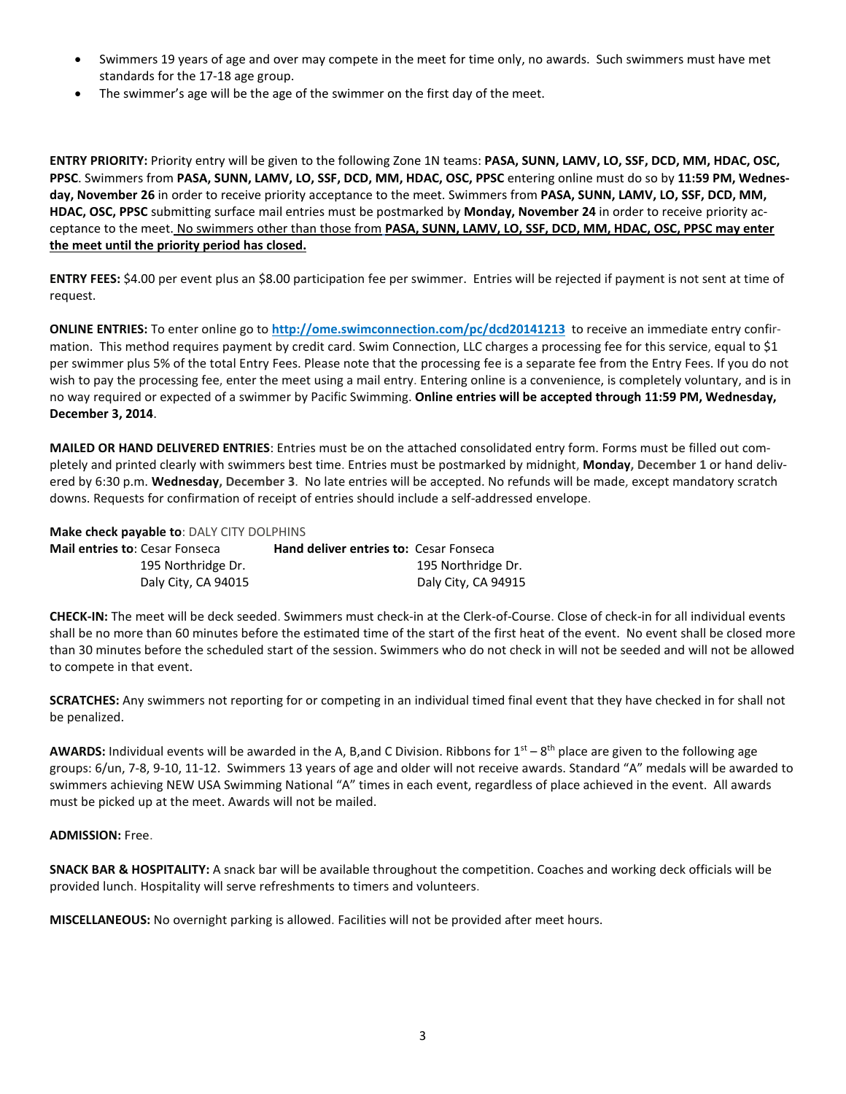- Swimmers 19 years of age and over may compete in the meet for time only, no awards. Such swimmers must have met standards for the 17-18 age group.
- The swimmer's age will be the age of the swimmer on the first day of the meet.

**ENTRY PRIORITY:** Priority entry will be given to the following Zone 1N teams: **PASA, SUNN, LAMV, LO, SSF, DCD, MM, HDAC, OSC, PPSC**. Swimmers from **PASA, SUNN, LAMV, LO, SSF, DCD, MM, HDAC, OSC, PPSC** entering online must do so by **11:59 PM, Wednesday, November 26** in order to receive priority acceptance to the meet. Swimmers from **PASA, SUNN, LAMV, LO, SSF, DCD, MM, HDAC, OSC, PPSC** submitting surface mail entries must be postmarked by **Monday, November 24** in order to receive priority acceptance to the meet. No swimmers other than those from **PASA, SUNN, LAMV, LO, SSF, DCD, MM, HDAC, OSC, PPSC may enter the meet until the priority period has closed.**

**ENTRY FEES:** \$4.00 per event plus an \$8.00 participation fee per swimmer. Entries will be rejected if payment is not sent at time of request.

**ONLINE ENTRIES:** To enter online go to **<http://ome.swimconnection.com/pc/dcd20141213>** to receive an immediate entry confirmation. This method requires payment by credit card. Swim Connection, LLC charges a processing fee for this service, equal to \$1 per swimmer plus 5% of the total Entry Fees. Please note that the processing fee is a separate fee from the Entry Fees. If you do not wish to pay the processing fee, enter the meet using a mail entry. Entering online is a convenience, is completely voluntary, and is in no way required or expected of a swimmer by Pacific Swimming. **Online entries will be accepted through 11:59 PM, Wednesday, December 3, 2014**.

**MAILED OR HAND DELIVERED ENTRIES**: Entries must be on the attached consolidated entry form. Forms must be filled out completely and printed clearly with swimmers best time. Entries must be postmarked by midnight, **Monday, December 1** or hand delivered by 6:30 p.m. **Wednesday, December 3**. No late entries will be accepted. No refunds will be made, except mandatory scratch downs. Requests for confirmation of receipt of entries should include a self-addressed envelope.

**Make check payable to**: DALY CITY DOLPHINS

| <b>Mail entries to: Cesar Fonseca</b> | <b>Hand deliver entries to: Cesar Fonseca</b> |
|---------------------------------------|-----------------------------------------------|
| 195 Northridge Dr.                    | 195 Northridge Dr.                            |
| Daly City, CA 94015                   | Daly City, CA 94915                           |

**CHECK-IN:** The meet will be deck seeded. Swimmers must check-in at the Clerk-of-Course. Close of check-in for all individual events shall be no more than 60 minutes before the estimated time of the start of the first heat of the event. No event shall be closed more than 30 minutes before the scheduled start of the session. Swimmers who do not check in will not be seeded and will not be allowed to compete in that event.

**SCRATCHES:** Any swimmers not reporting for or competing in an individual timed final event that they have checked in for shall not be penalized.

AWARDS: Individual events will be awarded in the A, B,and C Division. Ribbons for 1<sup>st</sup> – 8<sup>th</sup> place are given to the following age groups: 6/un, 7-8, 9-10, 11-12. Swimmers 13 years of age and older will not receive awards. Standard "A" medals will be awarded to swimmers achieving NEW USA Swimming National "A" times in each event, regardless of place achieved in the event. All awards must be picked up at the meet. Awards will not be mailed.

## **ADMISSION:** Free.

**SNACK BAR & HOSPITALITY:** A snack bar will be available throughout the competition. Coaches and working deck officials will be provided lunch. Hospitality will serve refreshments to timers and volunteers.

**MISCELLANEOUS:** No overnight parking is allowed. Facilities will not be provided after meet hours.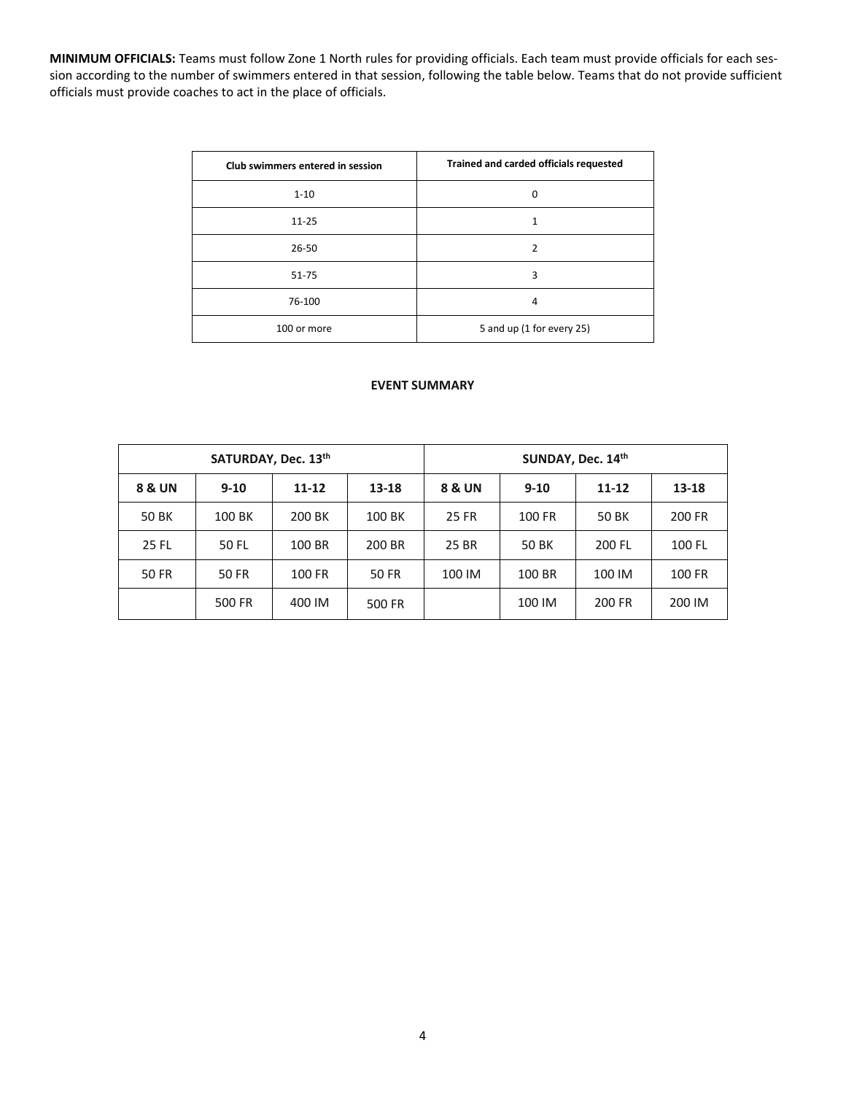**MINIMUM OFFICIALS:** Teams must follow Zone 1 North rules for providing officials. Each team must provide officials for each session according to the number of swimmers entered in that session, following the table below. Teams that do not provide sufficient officials must provide coaches to act in the place of officials.

| Club swimmers entered in session | Trained and carded officials requested |
|----------------------------------|----------------------------------------|
| $1 - 10$                         | 0                                      |
| $11 - 25$                        |                                        |
| 26-50                            |                                        |
| 51-75                            | 3                                      |
| 76-100                           | 4                                      |
| 100 or more                      | 5 and up (1 for every 25)              |

### **EVENT SUMMARY**

|        | SATURDAY, Dec. 13th |           |           | SUNDAY, Dec. 14th |          |           |        |  |  |  |
|--------|---------------------|-----------|-----------|-------------------|----------|-----------|--------|--|--|--|
| 8 & UN | $9 - 10$            | $11 - 12$ | $13 - 18$ | 8 & UN            | $9 - 10$ | $11 - 12$ | 13-18  |  |  |  |
| 50 BK  | 100 BK              | 200 BK    | 100 BK    | 25 FR             | 100 FR   | 50 BK     | 200 FR |  |  |  |
| 25 FL  | 50 FL               | 100 BR    | 200 BR    | 25 BR             | 50 BK    | 200 FL    | 100 FL |  |  |  |
| 50 FR  | 50 FR               | 100 FR    | 50 FR     | 100 IM            | 100 BR   | 100 IM    | 100 FR |  |  |  |
|        | 500 FR              | 400 IM    | 500 FR    |                   | 100 IM   | 200 FR    | 200 IM |  |  |  |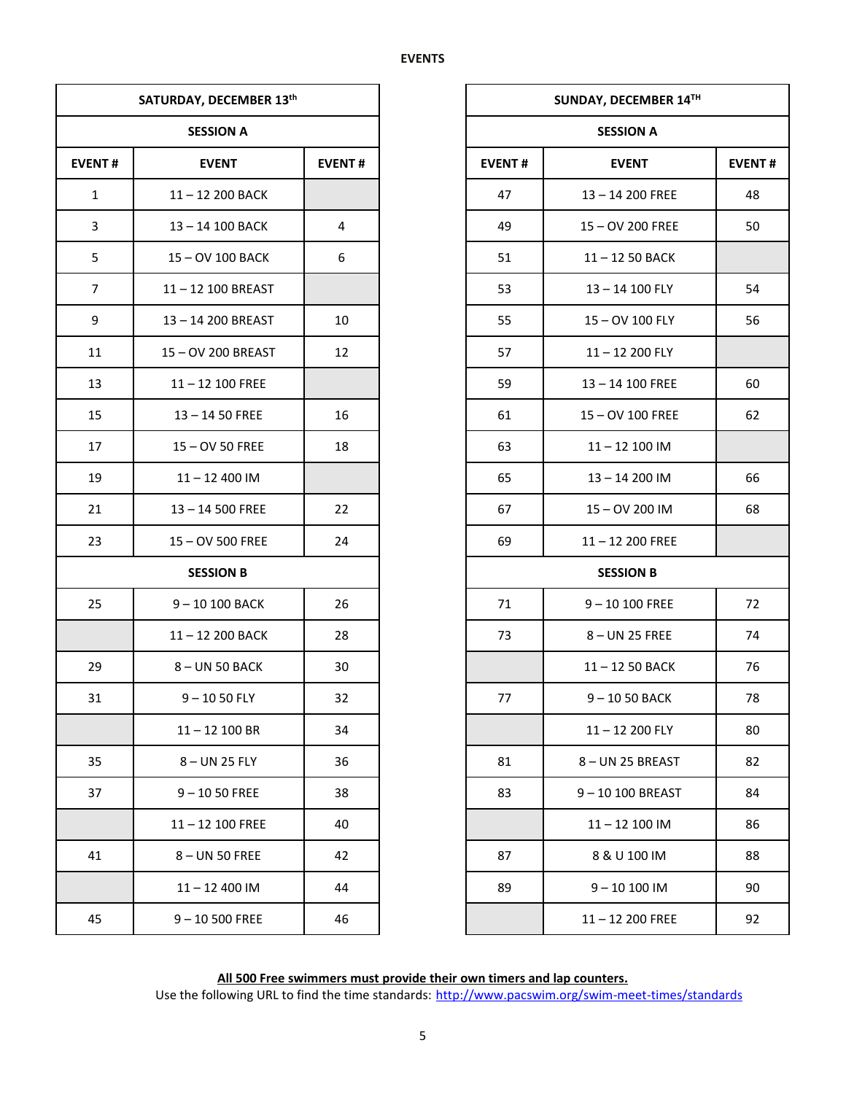|                | SATURDAY, DECEMBER 13th |               |               | <b>SUNDAY, DECEMBER</b> |  |  |
|----------------|-------------------------|---------------|---------------|-------------------------|--|--|
|                | <b>SESSION A</b>        |               |               | <b>SESSION A</b>        |  |  |
| <b>EVENT#</b>  | <b>EVENT</b>            | <b>EVENT#</b> | <b>EVENT#</b> | <b>EVENT</b>            |  |  |
| $\mathbf{1}$   | 11-12 200 BACK          |               | 47            | 13-14 200 FREE          |  |  |
| $\mathbf{3}$   | 13-14 100 BACK          | 4             | 49            | 15 - OV 200 FREE        |  |  |
| 5              | 15-OV 100 BACK          | 6             | 51            | 11-12 50 BACK           |  |  |
| $\overline{7}$ | 11-12 100 BREAST        |               | 53            | 13-14 100 FLY           |  |  |
| 9              | 13-14 200 BREAST        | 10            | 55            | 15 - OV 100 FLY         |  |  |
| 11             | 15-OV 200 BREAST        | 12            | 57            | 11-12 200 FLY           |  |  |
| 13             | $11 - 12$ 100 FREE      |               | 59            | 13-14 100 FREE          |  |  |
| 15             | $13 - 1450$ FREE        | 16            | 61            | 15 - OV 100 FREE        |  |  |
| 17             | 15 - OV 50 FREE         | 18            | 63            | $11 - 12$ 100 IM        |  |  |
| 19             | $11 - 12400$ IM         |               | 65            | 13-14 200 IM            |  |  |
| 21             | 13-14 500 FREE          | 22            | 67            | 15-OV 200 IM            |  |  |
| 23             | 15-OV 500 FREE          | 24            | 69            | 11-12 200 FREE          |  |  |
|                | <b>SESSION B</b>        |               |               | <b>SESSION B</b>        |  |  |
| 25             | 9-10 100 BACK           | 26            | 71            | $9 - 10100$ FREE        |  |  |
|                | 11-12 200 BACK          | 28            | 73            | 8-UN 25 FREE            |  |  |
| 29             | 8-UN 50 BACK            | 30            |               | 11-12 50 BACK           |  |  |
| 31             | $9 - 1050$ FLY          | 32            | 77            | $9 - 1050$ BACK         |  |  |
|                | $11 - 12$ 100 BR        | 34            |               | 11-12 200 FLY           |  |  |
| 35             | 8-UN 25 FLY             | 36            | 81            | 8- UN 25 BREAST         |  |  |
| 37             | $9 - 1050$ FREE         | 38            | 83            | 9-10 100 BREAS          |  |  |
|                | $11 - 12$ 100 FREE      | 40            |               | $11 - 12$ 100 IM        |  |  |
| 41             | 8-UN 50 FREE            | 42            | 87            | 8 & U 100 IM            |  |  |
|                | $11 - 12400$ IM         | 44            | 89            | $9 - 10 100$ IM         |  |  |
| 45             | $9 - 10500$ FREE        | 46            |               | 11-12 200 FREE          |  |  |

|                | SATURDAY, DECEMBER 13th |               |  |
|----------------|-------------------------|---------------|--|
|                | <b>SESSION A</b>        |               |  |
| <b>EVENT#</b>  | <b>EVENT</b>            | <b>EVENT#</b> |  |
| $\mathbf{1}$   | 11-12 200 BACK          |               |  |
| $\mathbf{3}$   | 13-14 100 BACK          | 4             |  |
| 5              | 15 - OV 100 BACK        | 6             |  |
| $\overline{7}$ | 11-12 100 BREAST        |               |  |
| 9              | 13-14 200 BREAST        | 10            |  |
| 11             | 15-OV 200 BREAST        | 12            |  |
| 13             | $11 - 12$ 100 FREE      |               |  |
| 15             | $13 - 1450$ FREE        | 16            |  |
| 17             | 15 - OV 50 FREE         | 18            |  |
| 19             | $11 - 12400$ IM         |               |  |
| 21             | $13 - 14500$ FREE       | 22            |  |
| 23             | 15-OV 500 FREE          | 24            |  |
|                | <b>SESSION B</b>        |               |  |
| 25             | 9-10 100 BACK           | 26            |  |
|                | 11-12 200 BACK          | 28            |  |
| 29             | 8-UN 50 BACK            | 30            |  |
| 31             | $9 - 1050$ FLY          | 32            |  |
|                | $11 - 12$ 100 BR        | 34            |  |
| 35             | 8-UN 25 FLY             | 36            |  |
| 37             | $9 - 1050$ FREE         | 38            |  |
|                | $11 - 12$ 100 FREE      | 40            |  |
| 41             | 8-UN 50 FREE            | 42            |  |
|                | $11 - 12400$ IM         | 44            |  |
| 45             | $9 - 10500$ FREE        | 46            |  |

**All 500 Free swimmers must provide their own timers and lap counters.** Use the following URL to find the time standards: <http://www.pacswim.org/swim-meet-times/standards>